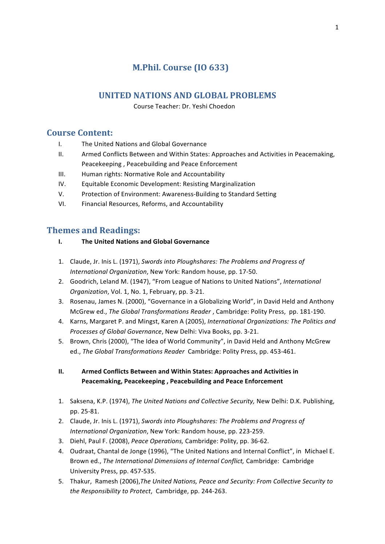# **M.Phil. Course (IO 633)**

# **UNITED NATIONS AND GLOBAL PROBLEMS**

 Course Teacher: Dr. Yeshi Choedon

# **Course Content:**

- I. The United Nations and Global Governance
- II. Armed Conflicts Between and Within States: Approaches and Activities in Peacemaking, Peacekeeping, Peacebuilding and Peace Enforcement
- III. Human rights: Normative Role and Accountability
- IV. Equitable Economic Development: Resisting Marginalization
- V. Protection of Environment: Awareness-Building to Standard Setting
- VI. Financial Resources, Reforms, and Accountability

# **Themes and Readings:**

### **I.** The United Nations and Global Governance

- 1. Claude, Jr. Inis L. (1971), Swords into Ploughshares: The Problems and Progress of *International Organization*, New York: Random house, pp. 17-50.
- 2. Goodrich, Leland M. (1947), "From League of Nations to United Nations", *International Organization*, Vol. 1, No. 1, February, pp. 3-21.
- 3. Rosenau, James N. (2000), "Governance in a Globalizing World", in David Held and Anthony McGrew ed., *The Global Transformations Reader*, Cambridge: Polity Press, pp. 181-190.
- 4. Karns, Margaret P. and Mingst, Karen A (2005), *International Organizations: The Politics and Processes of Global Governance*, New Delhi: Viva Books, pp. 3-21.
- 5. Brown, Chris (2000), "The Idea of World Community", in David Held and Anthony McGrew ed., *The Global Transformations Reader* Cambridge: Polity Press, pp. 453-461.

### **II. Armed Conflicts Between and Within States: Approaches and Activities in** Peacemaking, Peacekeeping, Peacebuilding and Peace Enforcement

- 1. Saksena, K.P. (1974), *The United Nations and Collective Security*, New Delhi: D.K. Publishing, pp. 25-81.
- 2. Claude, Jr. Inis L. (1971), *Swords into Ploughshares: The Problems and Progress of International Organization*, New York: Random house, pp. 223-259.
- 3. Diehl, Paul F. (2008), Peace Operations, Cambridge: Polity, pp. 36-62.
- 4. Oudraat, Chantal de Jonge (1996), "The United Nations and Internal Conflict", in Michael E. Brown ed., The International Dimensions of Internal Conflict, Cambridge: Cambridge University Press, pp. 457-535.
- 5. Thakur, Ramesh (2006), The United Nations, Peace and Security: From Collective Security to *the Responsibility to Protect, Cambridge, pp. 244-263.*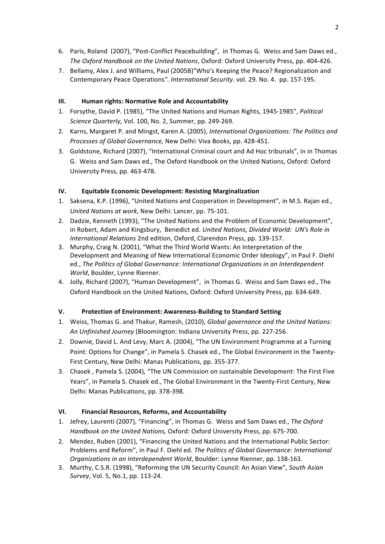- 6. Paris, Roland (2007), "Post-Conflict Peacebuilding", in Thomas G. Weiss and Sam Daws ed., The Oxford Handbook on the United Nations, Oxford: Oxford University Press, pp. 404-426.
- 7. Bellamy, Alex J. and Williams, Paul (2005B)"Who's Keeping the Peace? Regionalization and Contemporary Peace Operations". International Security. vol. 29. No. 4. pp. 157-195.

### **III.** Human rights: Normative Role and Accountability

- 1. Forsythe, David P. (1985), "The United Nations and Human Rights, 1945-1985", *Political Science Quarterly, Vol. 100, No. 2, Summer, pp. 249-269.*
- 2. Karns, Margaret P. and Mingst, Karen A. (2005), *International Organizations: The Politics and Processes of Global Governance, New Delhi: Viva Books, pp. 428-451.*
- 3. Goldstone, Richard (2007), "International Criminal court and Ad Hoc tribunals", in in Thomas G. Weiss and Sam Daws ed., The Oxford Handbook on the United Nations, Oxford: Oxford University Press, pp. 463-478.

### **IV. Equitable Economic Development: Resisting Marginalization**

- 1. Saksena, K.P. (1996), "United Nations and Cooperation in Development", in M.S. Rajan ed., *United Nations at work*, New Delhi: Lancer, pp. 75-101.
- 2. Dadzie, Kenneth (1993), "The United Nations and the Problem of Economic Development", in Robert, Adam and Kingsbury, Benedict ed. United Nations, Divided World: UN's Role in *International Relations* 2nd edition, Oxford, Clarendon Press, pp. 139-157.
- 3. Murphy, Craig N. (2001), "What the Third World Wants: An Interpretation of the Development and Meaning of New International Economic Order Ideology", in Paul F. Diehl ed., The Politics of Global Governance: International Organizations in an Interdependent *World*, Boulder, Lynne Rienner.
- 4. Jolly, Richard (2007), "Human Development", in Thomas G. Weiss and Sam Daws ed., The Oxford Handbook on the United Nations, Oxford: Oxford University Press, pp. 634-649.

### **V. Protection of Environment: Awareness-Building to Standard Setting**

- 1. Weiss, Thomas G. and Thakur, Ramesh, (2010), *Global governance and the United Nations:* An Unfinished Journey (Bloomington: Indiana University Press, pp. 227-256.
- 2. Downie, David L. And Levy, Marc A. (2004), "The UN Environment Programme at a Turning Point: Options for Change", in Pamela S. Chasek ed., The Global Environment in the Twenty-First Century, New Delhi: Manas Publications, pp. 355-377.
- 3. Chasek, Pamela S. (2004), "The UN Commission on sustainable Development: The First Five Years", in Pamela S. Chasek ed., The Global Environment in the Twenty-First Century, New Delhi: Manas Publications, pp. 378-398.

### **VI. Financial Resources, Reforms, and Accountability**

- 1. Jefrey, Laurenti (2007), "Financing", in Thomas G. Weiss and Sam Daws ed., *The Oxford Handbook on the United Nations, Oxford: Oxford University Press, pp. 675-700.*
- 2. Mendez, Ruben (2001), "Financing the United Nations and the International Public Sector: Problems and Reform", in Paul F. Diehl ed. The Politics of Global Governance: International *Organizations in an Interdependent World*, Boulder: Lynne Rienner, pp. 138-163.
- 3. Murthy, C.S.R. (1998), "Reforming the UN Security Council: An Asian View", South Asian *Survey*, *Vol.* 5, *No.1*, *pp.* 113-24.